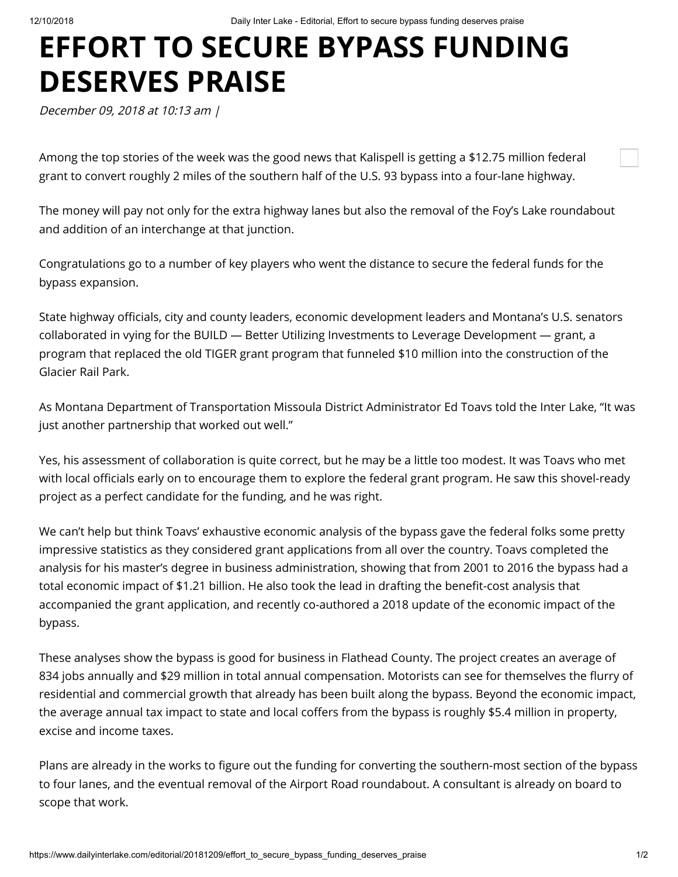## **EFFORT TO SECURE BYPASS FUNDING DESERVES PRAISE**

December 09, 2018 at 10:13 am |

Among the top stories of the week was the good news that Kalispell is getting a \$12.75 million federal grant to convert roughly 2 miles of the southern half of the U.S. 93 bypass into a four-lane highway.

The money will pay not only for the extra highway lanes but also the removal of the Foy's Lake roundabout and addition of an interchange at that junction.

Congratulations go to a number of key players who went the distance to secure the federal funds for the bypass expansion.

State highway officials, city and county leaders, economic development leaders and Montana's U.S. senators collaborated in vying for the BUILD — Better Utilizing Investments to Leverage Development — grant, a program that replaced the old TIGER grant program that funneled \$10 million into the construction of the Glacier Rail Park.

As Montana Department of Transportation Missoula District Administrator Ed Toavs told the Inter Lake, "It was just another partnership that worked out well."

Yes, his assessment of collaboration is quite correct, but he may be a little too modest. It was Toavs who met with local officials early on to encourage them to explore the federal grant program. He saw this shovel-ready project as a perfect candidate for the funding, and he was right.

We can't help but think Toavs' exhaustive economic analysis of the bypass gave the federal folks some pretty impressive statistics as they considered grant applications from all over the country. Toavs completed the analysis for his master's degree in business administration, showing that from 2001 to 2016 the bypass had a total economic impact of \$1.21 billion. He also took the lead in drafting the benefit-cost analysis that accompanied the grant application, and recently co-authored a 2018 update of the economic impact of the bypass.

These analyses show the bypass is good for business in Flathead County. The project creates an average of 834 jobs annually and \$29 million in total annual compensation. Motorists can see for themselves the flurry of residential and commercial growth that already has been built along the bypass. Beyond the economic impact, the average annual tax impact to state and local coffers from the bypass is roughly \$5.4 million in property, excise and income taxes.

Plans are already in the works to figure out the funding for converting the southern-most section of the bypass to four lanes, and the eventual removal of the Airport Road roundabout. A consultant is already on board to scope that work.